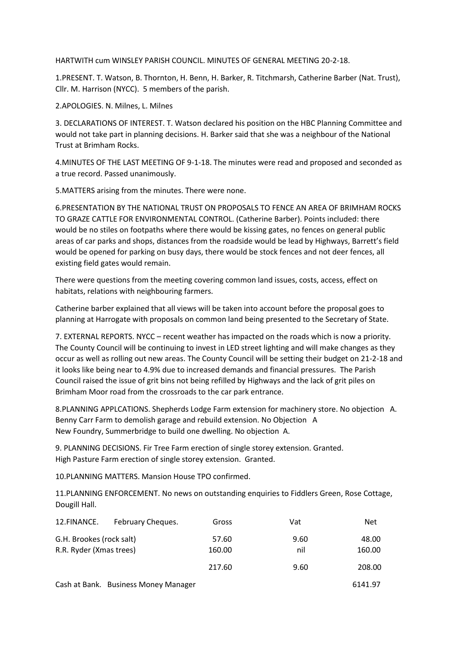HARTWITH cum WINSLEY PARISH COUNCIL. MINUTES OF GENERAL MEETING 20-2-18.

1.PRESENT. T. Watson, B. Thornton, H. Benn, H. Barker, R. Titchmarsh, Catherine Barber (Nat. Trust), Cllr. M. Harrison (NYCC). 5 members of the parish.

2.APOLOGIES. N. Milnes, L. Milnes

3. DECLARATIONS OF INTEREST. T. Watson declared his position on the HBC Planning Committee and would not take part in planning decisions. H. Barker said that she was a neighbour of the National Trust at Brimham Rocks.

4.MINUTES OF THE LAST MEETING OF 9-1-18. The minutes were read and proposed and seconded as a true record. Passed unanimously.

5.MATTERS arising from the minutes. There were none.

6.PRESENTATION BY THE NATIONAL TRUST ON PROPOSALS TO FENCE AN AREA OF BRIMHAM ROCKS TO GRAZE CATTLE FOR ENVIRONMENTAL CONTROL. (Catherine Barber). Points included: there would be no stiles on footpaths where there would be kissing gates, no fences on general public areas of car parks and shops, distances from the roadside would be lead by Highways, Barrett's field would be opened for parking on busy days, there would be stock fences and not deer fences, all existing field gates would remain.

There were questions from the meeting covering common land issues, costs, access, effect on habitats, relations with neighbouring farmers.

Catherine barber explained that all views will be taken into account before the proposal goes to planning at Harrogate with proposals on common land being presented to the Secretary of State.

7. EXTERNAL REPORTS. NYCC – recent weather has impacted on the roads which is now a priority. The County Council will be continuing to invest in LED street lighting and will make changes as they occur as well as rolling out new areas. The County Council will be setting their budget on 21-2-18 and it looks like being near to 4.9% due to increased demands and financial pressures. The Parish Council raised the issue of grit bins not being refilled by Highways and the lack of grit piles on Brimham Moor road from the crossroads to the car park entrance.

8.PLANNING APPLCATIONS. Shepherds Lodge Farm extension for machinery store. No objection A. Benny Carr Farm to demolish garage and rebuild extension. No Objection A New Foundry, Summerbridge to build one dwelling. No objection A.

9. PLANNING DECISIONS. Fir Tree Farm erection of single storey extension. Granted. High Pasture Farm erection of single storey extension. Granted.

10.PLANNING MATTERS. Mansion House TPO confirmed.

11.PLANNING ENFORCEMENT. No news on outstanding enquiries to Fiddlers Green, Rose Cottage, Dougill Hall.

| 12.FINANCE.              | February Cheques.                    | Gross  | Vat  | <b>Net</b> |
|--------------------------|--------------------------------------|--------|------|------------|
| G.H. Brookes (rock salt) |                                      | 57.60  | 9.60 | 48.00      |
| R.R. Ryder (Xmas trees)  |                                      | 160.00 | nil  | 160.00     |
|                          |                                      | 217.60 | 9.60 | 208.00     |
|                          | Cash at Bank. Business Money Manager |        |      | 6141.97    |